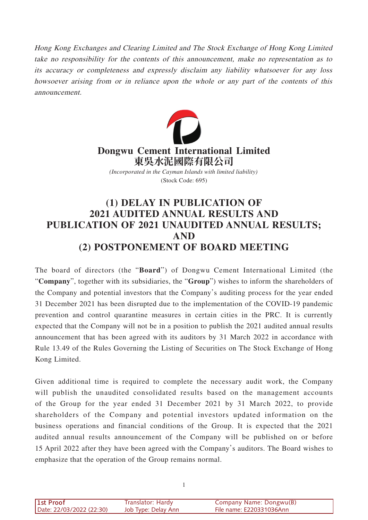Hong Kong Exchanges and Clearing Limited and The Stock Exchange of Hong Kong Limited take no responsibility for the contents of this announcement, make no representation as to its accuracy or completeness and expressly disclaim any liability whatsoever for any loss howsoever arising from or in reliance upon the whole or any part of the contents of this announcement.



(Stock Code: 695)

## **(1) DELAY IN PUBLICATION OF 2021 AUDITED ANNUAL RESULTS AND PUBLICATION OF 2021 UNAUDITED ANNUAL RESULTS; AND (2) POSTPONEMENT OF BOARD MEETING**

The board of directors (the "**Board**") of Dongwu Cement International Limited (the "**Company**", together with its subsidiaries, the "**Group**") wishes to inform the shareholders of the Company and potential investors that the Company's auditing process for the year ended 31 December 2021 has been disrupted due to the implementation of the COVID-19 pandemic prevention and control quarantine measures in certain cities in the PRC. It is currently expected that the Company will not be in a position to publish the 2021 audited annual results announcement that has been agreed with its auditors by 31 March 2022 in accordance with Rule 13.49 of the Rules Governing the Listing of Securities on The Stock Exchange of Hong Kong Limited.

Given additional time is required to complete the necessary audit work, the Company will publish the unaudited consolidated results based on the management accounts of the Group for the year ended 31 December 2021 by 31 March 2022, to provide shareholders of the Company and potential investors updated information on the business operations and financial conditions of the Group. It is expected that the 2021 audited annual results announcement of the Company will be published on or before 15 April 2022 after they have been agreed with the Company's auditors. The Board wishes to emphasize that the operation of the Group remains normal.

| <b>1st Proof</b>         | Translator: Hardy   | Company Name: Dongwu(B)  |
|--------------------------|---------------------|--------------------------|
| Date: 22/03/2022 (22:30) | Job Type: Delay Ann | File name: E220331036Ann |